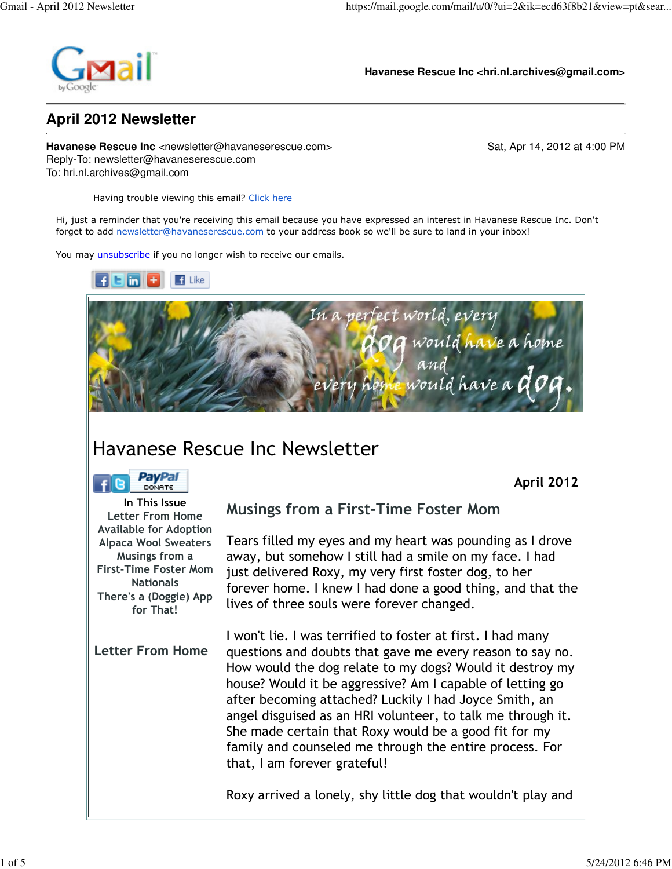

**Havanese Rescue Inc <hri.nl.archives@gmail.com>**

## **April 2012 Newsletter**

**Havanese Rescue Inc** <newsletter@havaneserescue.com> Sat, Apr 14, 2012 at 4:00 PM Reply-To: newsletter@havaneserescue.com To: hri.nl.archives@gmail.com

Having trouble viewing this email? Click here

Hi, just a reminder that you're receiving this email because you have expressed an interest in Havanese Rescue Inc. Don't forget to add newsletter@havaneserescue.com to your address book so we'll be sure to land in your inbox!

You may unsubscribe if you no longer wish to receive our emails.





## Havanese Rescue Inc Newsletter

| DONATE |
|--------|

April 2012

In This Issue Letter From Home Available for Adoption Alpaca Wool Sweaters Musings from a First-Time Foster Mom Nationals There's a (Doggie) App for That! Letter From Home

Musings from a First-Time Foster Mom

Tears filled my eyes and my heart was pounding as I drove away, but somehow I still had a smile on my face. I had just delivered Roxy, my very first foster dog, to her forever home. I knew I had done a good thing, and that the lives of three souls were forever changed.

I won't lie. I was terrified to foster at first. I had many questions and doubts that gave me every reason to say no. How would the dog relate to my dogs? Would it destroy my house? Would it be aggressive? Am I capable of letting go after becoming attached? Luckily I had Joyce Smith, an angel disguised as an HRI volunteer, to talk me through it. She made certain that Roxy would be a good fit for my family and counseled me through the entire process. For that, I am forever grateful!

Roxy arrived a lonely, shy little dog that wouldn't play and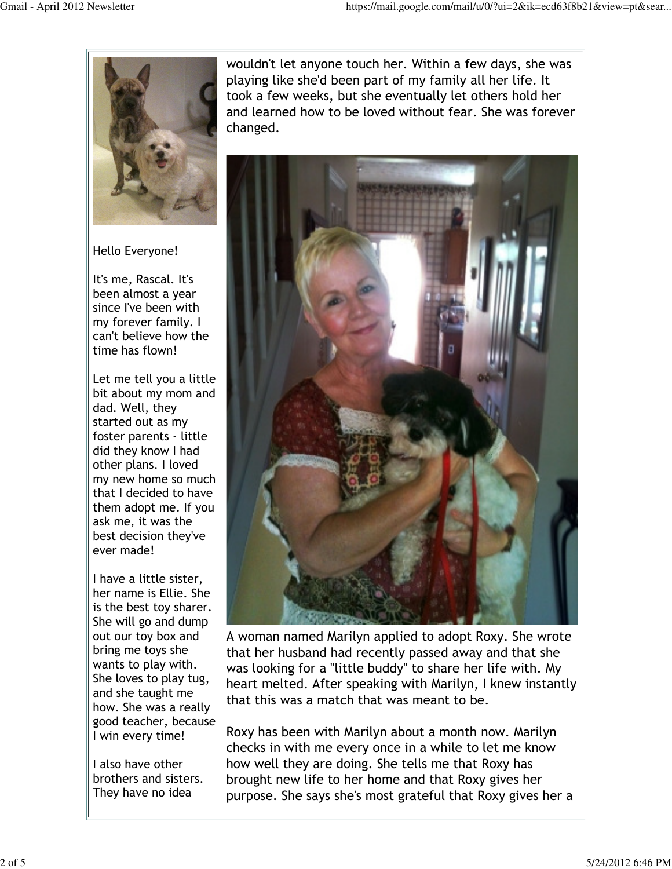

Hello Everyone!

It's me, Rascal. It's been almost a year since I've been with my forever family. I can't believe how the time has flown!

Let me tell you a little bit about my mom and dad. Well, they started out as my foster parents - little did they know I had other plans. I loved my new home so much that I decided to have them adopt me. If you ask me, it was the best decision they've ever made!

I have a little sister, her name is Ellie. She is the best toy sharer. She will go and dump out our toy box and bring me toys she wants to play with. She loves to play tug, and she taught me how. She was a really good teacher, because I win every time!

I also have other brothers and sisters. They have no idea

wouldn't let anyone touch her. Within a few days, she was playing like she'd been part of my family all her life. It took a few weeks, but she eventually let others hold her and learned how to be loved without fear. She was forever changed.



A woman named Marilyn applied to adopt Roxy. She wrote that her husband had recently passed away and that she was looking for a "little buddy" to share her life with. My heart melted. After speaking with Marilyn, I knew instantly that this was a match that was meant to be.

Roxy has been with Marilyn about a month now. Marilyn checks in with me every once in a while to let me know how well they are doing. She tells me that Roxy has brought new life to her home and that Roxy gives her purpose. She says she's most grateful that Roxy gives her a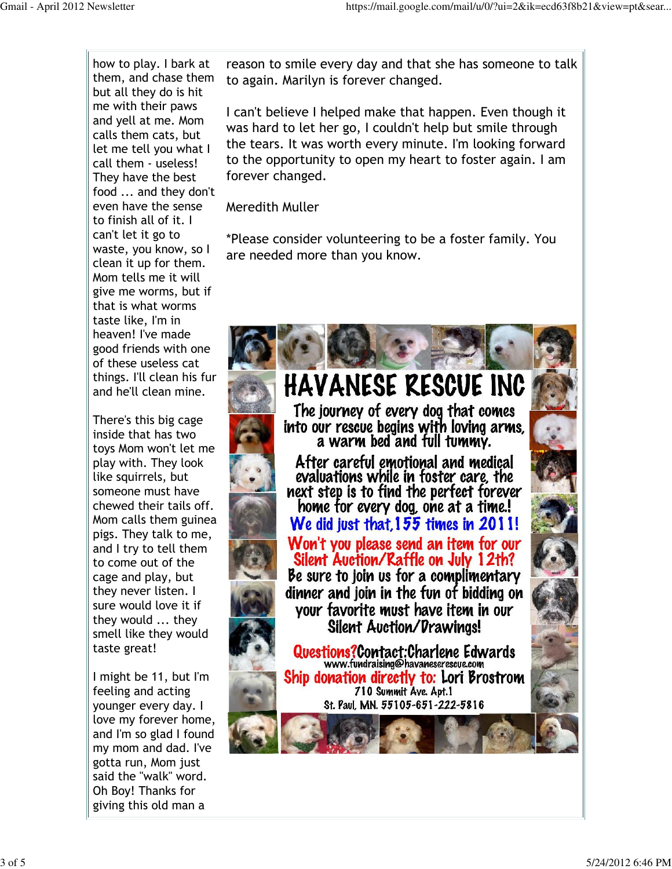how to play. I bark at them, and chase them but all they do is hit me with their paws and yell at me. Mom calls them cats, but let me tell you what I call them - useless! They have the best food ... and they don't even have the sense to finish all of it. I can't let it go to waste, you know, so I clean it up for them. Mom tells me it will give me worms, but if that is what worms taste like, I'm in heaven! I've made good friends with one of these useless cat things. I'll clean his fur and he'll clean mine.

There's this big cage inside that has two toys Mom won't let me play with. They look like squirrels, but someone must have chewed their tails off. Mom calls them guinea pigs. They talk to me, and I try to tell them to come out of the cage and play, but they never listen. I sure would love it if they would ... they smell like they would taste great!

I might be 11, but I'm feeling and acting younger every day. I love my forever home, and I'm so glad I found my mom and dad. I've gotta run, Mom just said the "walk" word. Oh Boy! Thanks for giving this old man a

reason to smile every day and that she has someone to talk to again. Marilyn is forever changed.

I can't believe I helped make that happen. Even though it was hard to let her go, I couldn't help but smile through the tears. It was worth every minute. I'm looking forward to the opportunity to open my heart to foster again. I am forever changed.

Meredith Muller

\*Please consider volunteering to be a foster family. You are needed more than you know.

## **HAVANESE RESCUE INC**

The journey of every dog that comes into our rescue begins with loving arms. a warm bed and full tummy.

After careful emotional and medical evaluations while in foster care, the next step is to find the perfect forever home for every dog, one at a time.! We did just that, 155 times in 2011! Won't you please send an item for our Silent Auction/Raffle on July 12th? Be sure to join us for a complimentary dinner and ioin in the fun of bidding on vour favorite must have item in our **Silent Auction/Drawings!** 

Questions?Contact:Charlene Edwards www.fundraising@havaneserescue.com Ship donation directly to: Lori Brostrom 710 Summit Ave. Apt.1 St. Paul, MN. 55105-651-222-5816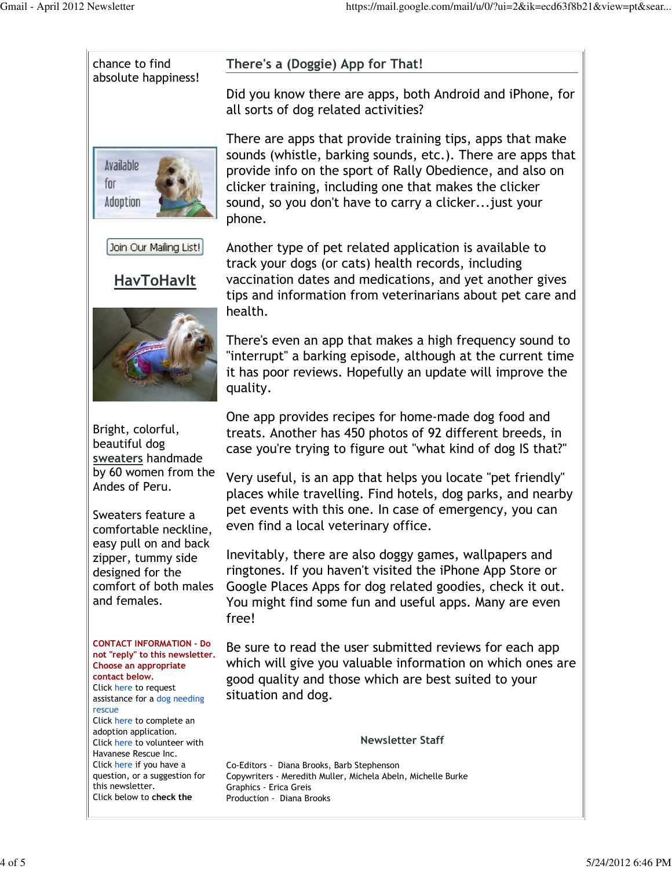